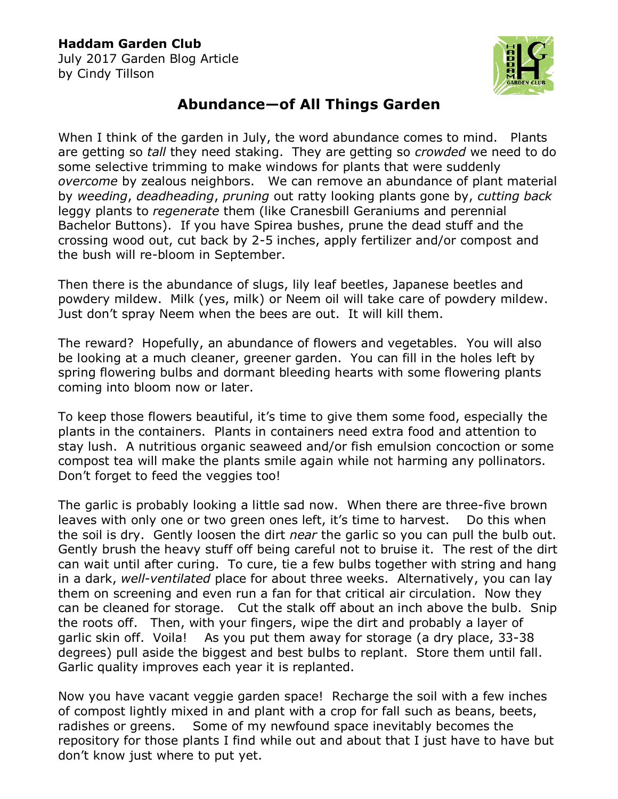## **Haddam Garden Club**

July 2017 Garden Blog Article by Cindy Tillson



## **Abundance—of All Things Garden**

When I think of the garden in July, the word abundance comes to mind. Plants are getting so *tall* they need staking. They are getting so *crowded* we need to do some selective trimming to make windows for plants that were suddenly *overcome* by zealous neighbors. We can remove an abundance of plant material by *weeding*, *deadheading*, *pruning* out ratty looking plants gone by, *cutting back* leggy plants to *regenerate* them (like Cranesbill Geraniums and perennial Bachelor Buttons). If you have Spirea bushes, prune the dead stuff and the crossing wood out, cut back by 2-5 inches, apply fertilizer and/or compost and the bush will re-bloom in September.

Then there is the abundance of slugs, lily leaf beetles, Japanese beetles and powdery mildew. Milk (yes, milk) or Neem oil will take care of powdery mildew. Just don't spray Neem when the bees are out. It will kill them.

The reward? Hopefully, an abundance of flowers and vegetables. You will also be looking at a much cleaner, greener garden. You can fill in the holes left by spring flowering bulbs and dormant bleeding hearts with some flowering plants coming into bloom now or later.

To keep those flowers beautiful, it's time to give them some food, especially the plants in the containers. Plants in containers need extra food and attention to stay lush. A nutritious organic seaweed and/or fish emulsion concoction or some compost tea will make the plants smile again while not harming any pollinators. Don't forget to feed the veggies too!

The garlic is probably looking a little sad now. When there are three-five brown leaves with only one or two green ones left, it's time to harvest. Do this when the soil is dry. Gently loosen the dirt *near* the garlic so you can pull the bulb out. Gently brush the heavy stuff off being careful not to bruise it. The rest of the dirt can wait until after curing. To cure, tie a few bulbs together with string and hang in a dark, *well-ventilated* place for about three weeks. Alternatively, you can lay them on screening and even run a fan for that critical air circulation. Now they can be cleaned for storage. Cut the stalk off about an inch above the bulb. Snip the roots off. Then, with your fingers, wipe the dirt and probably a layer of garlic skin off. Voila! As you put them away for storage (a dry place, 33-38 degrees) pull aside the biggest and best bulbs to replant. Store them until fall. Garlic quality improves each year it is replanted.

Now you have vacant veggie garden space! Recharge the soil with a few inches of compost lightly mixed in and plant with a crop for fall such as beans, beets, radishes or greens. Some of my newfound space inevitably becomes the repository for those plants I find while out and about that I just have to have but don't know just where to put yet.